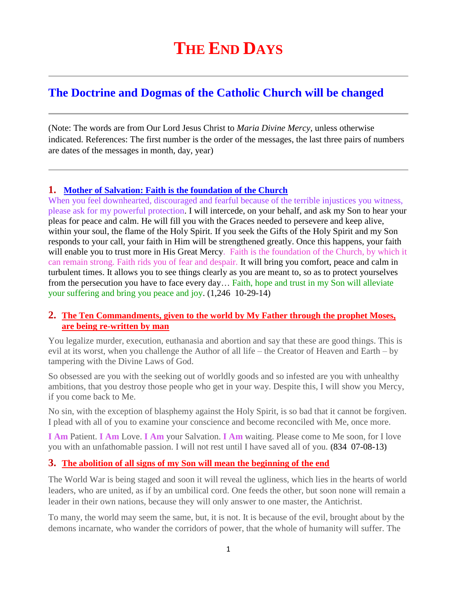# **The Doctrine and Dogmas of the Catholic Church will be changed**

(Note: The words are from Our Lord Jesus Christ to *Maria Divine Mercy*, unless otherwise indicated. References: The first number is the order of the messages, the last three pairs of numbers are dates of the messages in month, day, year)

### **1. [Mother of Salvation: Faith is the foundation of the Church](http://www.thewarningsecondcoming.com/mother-of-salvation-faith-is-the-foundation-of-the-church/)**

When you feel downhearted, discouraged and fearful because of the terrible injustices you witness, please ask for my powerful protection. I will intercede, on your behalf, and ask my Son to hear your pleas for peace and calm. He will fill you with the Graces needed to persevere and keep alive, within your soul, the flame of the Holy Spirit. If you seek the Gifts of the Holy Spirit and my Son responds to your call, your faith in Him will be strengthened greatly. Once this happens, your faith will enable you to trust more in His Great Mercy. Faith is the foundation of the Church, by which it can remain strong. Faith rids you of fear and despair. It will bring you comfort, peace and calm in turbulent times. It allows you to see things clearly as you are meant to, so as to protect yourselves from the persecution you have to face every day… Faith, hope and trust in my Son will alleviate your suffering and bring you peace and joy. (1,246 10-29-14)

# **2. [The Ten Commandments, given to the world by My Father through the prophet Moses,](http://www.thewarningsecondcoming.com/the-ten-commandments-given-to-the-world-by-my-father-through-the-prophet-moses-are-being-re-written-by-man/)  [are being re-written by man](http://www.thewarningsecondcoming.com/the-ten-commandments-given-to-the-world-by-my-father-through-the-prophet-moses-are-being-re-written-by-man/)**

You legalize murder, execution, euthanasia and abortion and say that these are good things. This is evil at its worst, when you challenge the Author of all life – the Creator of Heaven and Earth – by tampering with the Divine Laws of God.

So obsessed are you with the seeking out of worldly goods and so infested are you with unhealthy ambitions, that you destroy those people who get in your way. Despite this, I will show you Mercy, if you come back to Me.

No sin, with the exception of blasphemy against the Holy Spirit, is so bad that it cannot be forgiven. I plead with all of you to examine your conscience and become reconciled with Me, once more.

**I Am** Patient. **I Am** Love. **I Am** your Salvation. **I Am** waiting. Please come to Me soon, for I love you with an unfathomable passion. I will not rest until I have saved all of you. **(**834 07-08-13**)**

### **3. [The abolition of all signs of my Son will mean the beginning of the end](http://www.thewarningsecondcoming.com/the-abolition-of-all-signs-of-my-son-will-m)**

The World War is being staged and soon it will reveal the ugliness, which lies in the hearts of world leaders, who are united, as if by an umbilical cord. One feeds the other, but soon none will remain a leader in their own nations, because they will only answer to one master, the Antichrist.

To many, the world may seem the same, but, it is not. It is because of the evil, brought about by the demons incarnate, who wander the corridors of power, that the whole of humanity will suffer. The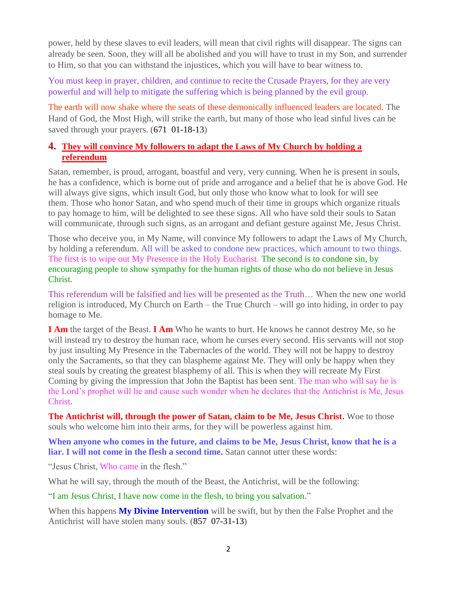power, held by these slaves to evil leaders, will mean that civil rights will disappear. The signs can already be seen. Soon, they will all be abolished and you will have to trust in my Son, and surrender to Him, so that you can withstand the injustices, which you will have to bear witness to.

You must keep in prayer, children, and continue to recite the Crusade Prayers, for they are very powerful and will help to mitigate the suffering which is being planned by the evil group.

The earth will now shake where the seats of these demonically influenced leaders are located. The Hand of God, the Most High, will strike the earth, but many of those who lead sinful lives can be saved through your prayers.  $(671 \t 01-18-13)$ 

# **4. [They will convince My followers to adapt the Laws of My Church by holding a](http://www.thewarningsecondcoming.com/they-will-convince-my-followers-to-adapt-the-laws-of-my-church-by-holding-a-referendum/)  [referendum](http://www.thewarningsecondcoming.com/they-will-convince-my-followers-to-adapt-the-laws-of-my-church-by-holding-a-referendum/)**

Satan, remember, is proud, arrogant, boastful and very, very cunning. When he is present in souls, he has a confidence, which is borne out of pride and arrogance and a belief that he is above God. He will always give signs, which insult God, but only those who know what to look for will see them. Those who honor Satan, and who spend much of their time in groups which organize rituals to pay homage to him, will be delighted to see these signs. All who have sold their souls to Satan will communicate, through such signs, as an arrogant and defiant gesture against Me, Jesus Christ.

Those who deceive you, in My Name, will convince My followers to adapt the Laws of My Church, by holding a referendum. All will be asked to condone new practices, which amount to two things. The first is to wipe out My Presence in the Holy Eucharist. The second is to condone sin, by encouraging people to show sympathy for the human rights of those who do not believe in Jesus Christ.

This referendum will be falsified and lies will be presented as the Truth… When the new one world religion is introduced, My Church on Earth – the True Church – will go into hiding, in order to pay homage to Me.

**I Am** the target of the Beast. **I Am** Who he wants to hurt. He knows he cannot destroy Me, so he will instead try to destroy the human race, whom he curses every second. His servants will not stop by just insulting My Presence in the Tabernacles of the world. They will not be happy to destroy only the Sacraments, so that they can blaspheme against Me. They will only be happy when they steal souls by creating the greatest blasphemy of all. This is when they will recreate My First Coming by giving the impression that John the Baptist has been sent. The man who will say he is the Lord's prophet will lie and cause such wonder when he declares that the Antichrist is Me, Jesus Christ.

**The Antichrist will, through the power of Satan, claim to be Me, Jesus Christ.** Woe to those souls who welcome him into their arms, for they will be powerless against him.

**When anyone who comes in the future, and claims to be Me, Jesus Christ, know that he is a liar. I will not come in the flesh a second time.** Satan cannot utter these words:

"Jesus Christ, Who came in the flesh."

What he will say, through the mouth of the Beast, the Antichrist, will be the following:

"I am Jesus Christ, I have now come in the flesh, to bring you salvation."

When this happens **My Divine Intervention** will be swift, but by then the False Prophet and the Antichrist will have stolen many souls. (857 07-31-13)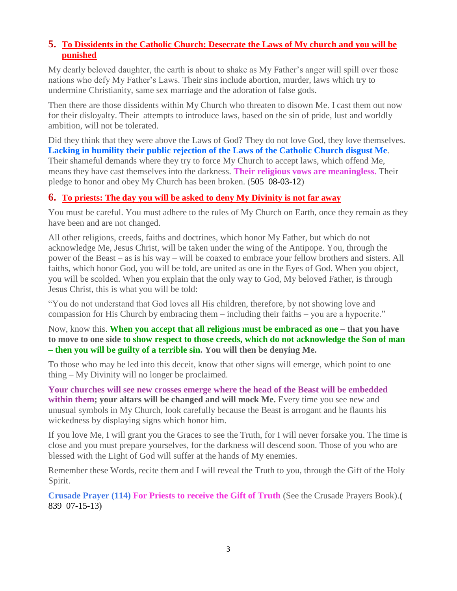# **5. [To Dissidents in the Catholic Church: Desecrate the Laws of My church and you will be](http://www.thewarningsecondcoming.com/to-dissidents-in-the-catholic-church-desecrate-the-laws-of-my-church-and-you-will-be-punished/)  [punished](http://www.thewarningsecondcoming.com/to-dissidents-in-the-catholic-church-desecrate-the-laws-of-my-church-and-you-will-be-punished/)**

My dearly beloved daughter, the earth is about to shake as My Father's anger will spill over those nations who defy My Father's Laws. Their sins include abortion, murder, laws which try to undermine Christianity, same sex marriage and the adoration of false gods.

Then there are those dissidents within My Church who threaten to disown Me. I cast them out now for their disloyalty. Their attempts to introduce laws, based on the sin of pride, lust and worldly ambition, will not be tolerated.

Did they think that they were above the Laws of God? They do not love God, they love themselves. **Lacking in humility their public rejection of the Laws of the Catholic Church disgust Me**. Their shameful demands where they try to force My Church to accept laws, which offend Me, means they have cast themselves into the darkness. **Their religious vows are meaningless.** Their pledge to honor and obey My Church has been broken. (505 08-03-12)

# **6. [To priests: The day you will be asked to deny My Divinity is not far away](http://www.thewarningsecondcoming.com/to-priests-the-day-you-will-be-asked-to-deny-my-divinity-is-not-far-away/)**

You must be careful. You must adhere to the rules of My Church on Earth, once they remain as they have been and are not changed.

All other religions, creeds, faiths and doctrines, which honor My Father, but which do not acknowledge Me, Jesus Christ, will be taken under the wing of the Antipope. You, through the power of the Beast – as is his way – will be coaxed to embrace your fellow brothers and sisters. All faiths, which honor God, you will be told, are united as one in the Eyes of God. When you object, you will be scolded. When you explain that the only way to God, My beloved Father, is through Jesus Christ, this is what you will be told:

"You do not understand that God loves all His children, therefore, by not showing love and compassion for His Church by embracing them – including their faiths – you are a hypocrite."

Now, know this. **When you accept that all religions must be embraced as one – that you have to move to one side to show respect to those creeds, which do not acknowledge the Son of man – then you will be guilty of a terrible sin. You will then be denying Me.**

To those who may be led into this deceit, know that other signs will emerge, which point to one thing – My Divinity will no longer be proclaimed.

**Your churches will see new crosses emerge where the head of the Beast will be embedded within them; your altars will be changed and will mock Me.** Every time you see new and unusual symbols in My Church, look carefully because the Beast is arrogant and he flaunts his wickedness by displaying signs which honor him.

If you love Me, I will grant you the Graces to see the Truth, for I will never forsake you. The time is close and you must prepare yourselves, for the darkness will descend soon. Those of you who are blessed with the Light of God will suffer at the hands of My enemies.

Remember these Words, recite them and I will reveal the Truth to you, through the Gift of the Holy Spirit.

**Crusade Prayer (114) For Priests to receive the Gift of Truth** (See the Crusade Prayers Book).**(** 839 07-15-13**)**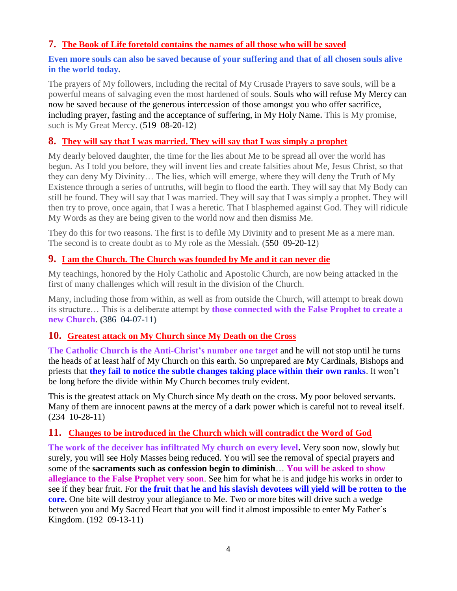# **7. [The Book of Life foretold contains the names of all those who will be saved](http://www.thewarningsecondcoming.com/the-book-of-life-foretold-contains-the-names-of-all-those-who-will-be-saved/)**

#### **Even more souls can also be saved because of your suffering and that of all chosen souls alive in the world today.**

The prayers of My followers, including the recital of My Crusade Prayers to save souls, will be a powerful means of salvaging even the most hardened of souls. Souls who will refuse My Mercy can now be saved because of the generous intercession of those amongst you who offer sacrifice, including prayer, fasting and the acceptance of suffering, in My Holy Name**.** This is My promise, such is My Great Mercy. (519 08-20-12)

# **8. [They will say that I was married. They will say that I was simply a prophet](http://www.thewarningsecondcoming.com/they-will-say-that-i-was-married-they-will-say-that-i-was-simply-a-prophet/)**

My dearly beloved daughter, the time for the lies about Me to be spread all over the world has begun. As I told you before, they will invent lies and create falsities about Me, Jesus Christ, so that they can deny My Divinity… The lies, which will emerge, where they will deny the Truth of My Existence through a series of untruths, will begin to flood the earth. They will say that My Body can still be found. They will say that I was married. They will say that I was simply a prophet. They will then try to prove, once again, that I was a heretic. That I blasphemed against God. They will ridicule My Words as they are being given to the world now and then dismiss Me.

They do this for two reasons. The first is to defile My Divinity and to present Me as a mere man. The second is to create doubt as to My role as the Messiah. (550 09-20-12)

# **9. [I am the Church. The Church was founded by Me and it can never die](http://www.thewarningsecondcoming.com/i-am-the-church-the-church-was-founded-by-me-and-it-can-never-die/)**

My teachings, honored by the Holy Catholic and Apostolic Church, are now being attacked in the first of many challenges which will result in the division of the Church.

Many, including those from within, as well as from outside the Church, will attempt to break down its structure… This is a deliberate attempt by **those connected with the False Prophet to create a new Church. (**386 04-07-11**)**

### **10. [Greatest attack on My Church since My Death on the Cross](http://www.thewarningsecondcoming.com/greatest-attack-on-my-church-since-my-death-on-the-cross/)**

**The Catholic Church is the Anti-Christ's number one target** and he will not stop until he turns the heads of at least half of My Church on this earth. So unprepared are My Cardinals, Bishops and priests that **they fail to notice the subtle changes taking place within their own ranks**. It won't be long before the divide within My Church becomes truly evident.

This is the greatest attack on My Church since My death on the cross. My poor beloved servants. Many of them are innocent pawns at the mercy of a dark power which is careful not to reveal itself. (234 10-28-11)

# **11. [Changes to be introduced in the Church which will contradict the Word of God](http://www.thewarningsecondcoming.com/changes-to-be-introduced-in-the-church-which-will-contradict-the-word-of-god/)**

**The work of the deceiver has infiltrated My church on every level.** Very soon now, slowly but surely, you will see Holy Masses being reduced. You will see the removal of special prayers and some of the **sacraments such as confession begin to diminish**… **You will be asked to show allegiance to the False Prophet very soon**. See him for what he is and judge his works in order to see if they bear fruit. For **the fruit that he and his slavish devotees will yield will be rotten to the core.** One bite will destroy your allegiance to Me. Two or more bites will drive such a wedge between you and My Sacred Heart that you will find it almost impossible to enter My Father´s Kingdom. (192 09-13-11)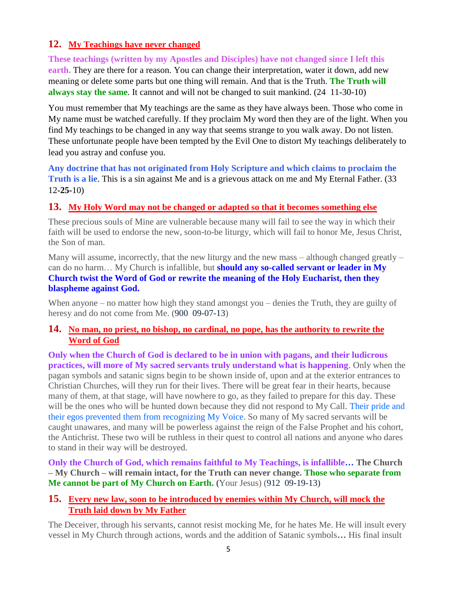# **12. My Teachings have never changed**

**These teachings (written by my Apostles and Disciples) have not changed since I left this earth.** They are there for a reason. You can change their interpretation, water it down, add new meaning or delete some parts but one thing will remain. And that is the Truth. **The Truth will always stay the same**. It cannot and will not be changed to suit mankind. (24 11-30-10)

You must remember that My teachings are the same as they have always been. Those who come in My name must be watched carefully. If they proclaim My word then they are of the light. When you find My teachings to be changed in any way that seems strange to you walk away. Do not listen. These unfortunate people have been tempted by the Evil One to distort My teachings deliberately to lead you astray and confuse you.

**Any doctrine that has not originated from Holy Scripture and which claims to proclaim the Truth is a lie**. This is a sin against Me and is a grievous attack on me and My Eternal Father. (33 12**-25-**10)

# **13. [My Holy Word may not be changed or adapted so that it becomes something else](http://www.thewarningsecondcoming.com/my-holy-word-may-not-be-changed-or-adapted-so-that-it-becomes-something-else/)**

These precious souls of Mine are vulnerable because many will fail to see the way in which their faith will be used to endorse the new, soon-to-be liturgy, which will fail to honor Me, Jesus Christ, the Son of man.

Many will assume, incorrectly, that the new liturgy and the new mass – although changed greatly – can do no harm… My Church is infallible, but **should any so-called servant or leader in My Church twist the Word of God or rewrite the meaning of the Holy Eucharist, then they blaspheme against God.**

When anyone – no matter how high they stand amongst you – denies the Truth, they are guilty of heresy and do not come from Me. (900 09-07-13)

### **14. [No man, no priest, no bishop, no cardinal, no pope, has the authority to rewrite the](http://www.thewarningsecondcoming.com/no-man-no-priest-no-bishop-no-cardinal-no-pope-has-the-authority-to-re-write-the-word-of-god/)  [Word of God](http://www.thewarningsecondcoming.com/no-man-no-priest-no-bishop-no-cardinal-no-pope-has-the-authority-to-re-write-the-word-of-god/)**

**Only when the Church of God is declared to be in union with pagans, and their ludicrous practices, will more of My sacred servants truly understand what is happening**. Only when the pagan symbols and satanic signs begin to be shown inside of, upon and at the exterior entrances to Christian Churches, will they run for their lives. There will be great fear in their hearts, because many of them, at that stage, will have nowhere to go, as they failed to prepare for this day. These will be the ones who will be hunted down because they did not respond to My Call. Their pride and their egos prevented them from recognizing My Voice. So many of My sacred servants will be caught unawares, and many will be powerless against the reign of the False Prophet and his cohort, the Antichrist. These two will be ruthless in their quest to control all nations and anyone who dares to stand in their way will be destroyed.

**Only the Church of God, which remains faithful to My Teachings, is infallible… The Church – My Church – will remain intact, for the Truth can never change. Those who separate from Me cannot be part of My Church on Earth. (**Your Jesus) (912 09-19-13)

# **15. [Every new law, soon to be introduced by enemies within My Church, will mock the](http://www.thewarningsecondcoming.com/every-new-law-soon-to-be-introduced-by-enemies-within-my-church-will-mock-the-truth-laid-down-by-my-father/)  [Truth laid down by My Father](http://www.thewarningsecondcoming.com/every-new-law-soon-to-be-introduced-by-enemies-within-my-church-will-mock-the-truth-laid-down-by-my-father/)**

The Deceiver, through his servants, cannot resist mocking Me, for he hates Me. He will insult every vessel in My Church through actions, words and the addition of Satanic symbols**…** His final insult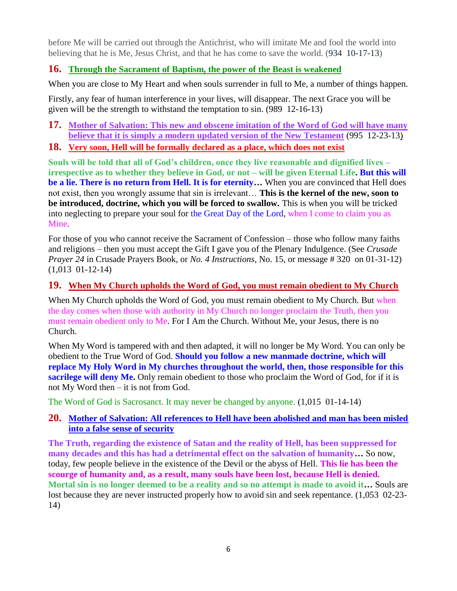before Me will be carried out through the Antichrist, who will imitate Me and fool the world into believing that he is Me, Jesus Christ, and that he has come to save the world. (934 10-17-13)

# **16. [Through the Sacrament of Baptism, the power of the Beast is weakened](http://www.thewarningsecondcoming.com/through-the-sacrament-of-baptism-the-power-of-the-beast-is-weakened/)**

When you are close to My Heart and when souls surrender in full to Me, a number of things happen.

Firstly, any fear of human interference in your lives, will disappear. The next Grace you will be given will be the strength to withstand the temptation to sin. (989 12-16-13)

**17. [Mother of Salvation: This new and obscene imitation of the Word of God will have many](http://www.thewarningsecondcoming.com/mother-of-salvation-this-new-and-obscene-imitation-of-the-word-of-god-will-have-many-believe-that-it-is-simply-a-modern-updated-version-of-the-new-testament/)  [believe that it is simply a modern updated version of the New Testament](http://www.thewarningsecondcoming.com/mother-of-salvation-this-new-and-obscene-imitation-of-the-word-of-god-will-have-many-believe-that-it-is-simply-a-modern-updated-version-of-the-new-testament/)** (995 12-23-13)

# **18. Very soon, Hell will be formally [declared as a place, which does not exist](http://www.thewarningsecondcoming.com/very-soon-hell-will-be-formally-declared-as-a-place-which-does-not-exist/)**

**Souls will be told that all of God's children, once they live reasonable and dignified lives – irrespective as to whether they believe in God, or not – will be given Eternal Life. But this will be a lie. There is no return from Hell. It is for eternity…** When you are convinced that Hell does not exist, then you wrongly assume that sin is irrelevant… **This is the kernel of the new, soon to be introduced, doctrine, which you will be forced to swallow.** This is when you will be tricked into neglecting to prepare your soul for the Great Day of the Lord, when I come to claim you as Mine.

For those of you who cannot receive the Sacrament of Confession – those who follow many faiths and religions – then you must accept the Gift I gave you of the Plenary Indulgence. (See *Crusade Prayer 24* in Crusade Prayers Book, or *No. 4 Instructions*, No. 15, or message # 320 on 01-31-12) (1,013 01-12-14)

# **19. [When My Church upholds the Word of God, you must remain obedient to My Church](http://www.thewarningsecondcoming.com/when-my-church-upholds-the-word-of-god-you-must-remain-obedient-to-my-church/)**

When My Church upholds the Word of God, you must remain obedient to My Church. But when the day comes when those with authority in My Church no longer proclaim the Truth, then you must remain obedient only to Me. For I Am the Church. Without Me, your Jesus, there is no Church.

When My Word is tampered with and then adapted, it will no longer be My Word. You can only be obedient to the True Word of God. **Should you follow a new manmade doctrine, which will replace My Holy Word in My churches throughout the world, then, those responsible for this sacrilege will deny Me.** Only remain obedient to those who proclaim the Word of God, for if it is not My Word then – it is not from God.

The Word of God is Sacrosanct. It may never be changed by anyone. (1,015 01-14-14)

# **20. [Mother of Salvation: All references to Hell have been abolished and man has been misled](http://www.thewarningsecondcoming.com/mother-of-salvation-all-references-to-hell-have-been-abolished-and-man-has-been-misled-into-a-false-sense-of-security/)  [into a false sense of security](http://www.thewarningsecondcoming.com/mother-of-salvation-all-references-to-hell-have-been-abolished-and-man-has-been-misled-into-a-false-sense-of-security/)**

**The Truth, regarding the existence of Satan and the reality of Hell, has been suppressed for many decades and this has had a detrimental effect on the salvation of humanity…** So now, today, few people believe in the existence of the Devil or the abyss of Hell. **This lie has been the scourge of humanity and, as a result, many souls have been lost, because Hell is denied. Mortal sin is no longer deemed to be a reality and so no attempt is made to avoid it…** Souls are lost because they are never instructed properly how to avoid sin and seek repentance. (1,053 02-23-14)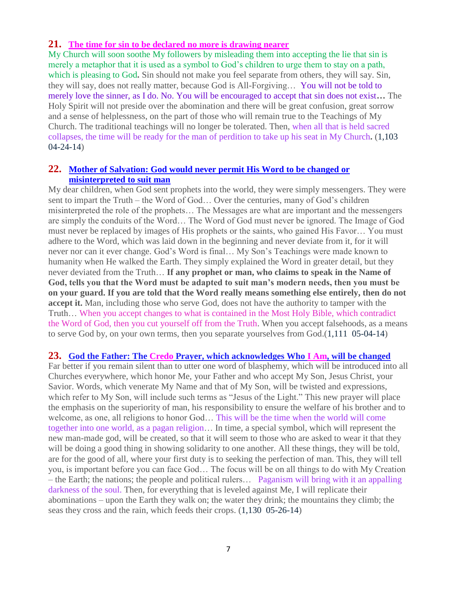#### **21. [The time for sin to be declared no more is drawing nearer](http://www.thewarningsecondcoming.com/three-of-out-of-four-will-deny-me/)**

My Church will soon soothe My followers by misleading them into accepting the lie that sin is merely a metaphor that it is used as a symbol to God's children to urge them to stay on a path, which is pleasing to God**.** Sin should not make you feel separate from others, they will say. Sin, they will say, does not really matter, because God is All-Forgiving… You will not be told to merely love the sinner, as I do. No. You will be encouraged to accept that sin does not exist**…** The Holy Spirit will not preside over the abomination and there will be great confusion, great sorrow and a sense of helplessness, on the part of those who will remain true to the Teachings of My Church. The traditional teachings will no longer be tolerated. Then, when all that is held sacred collapses, the time will be ready for the man of perdition to take up his seat in My Church**.** (1,103 04-24-14)

#### **22. [Mother of Salvation: God would never permit His Word to be changed or](http://www.thewarningsecondcoming.com/my-love-for-humanity-is-whole-i-love-all-including-those-who-commit-the-most-wicked-acts/)  [misinterpreted to suit man](http://www.thewarningsecondcoming.com/my-love-for-humanity-is-whole-i-love-all-including-those-who-commit-the-most-wicked-acts/)**

My dear children, when God sent prophets into the world, they were simply messengers. They were sent to impart the Truth – the Word of God… Over the centuries, many of God's children misinterpreted the role of the prophets… The Messages are what are important and the messengers are simply the conduits of the Word… The Word of God must never be ignored. The Image of God must never be replaced by images of His prophets or the saints, who gained His Favor… You must adhere to the Word, which was laid down in the beginning and never deviate from it, for it will never nor can it ever change. God's Word is final… My Son's Teachings were made known to humanity when He walked the Earth. They simply explained the Word in greater detail, but they never deviated from the Truth… **If any prophet or man, who claims to speak in the Name of God, tells you that the Word must be adapted to suit man's modern needs, then you must be on your guard. If you are told that the Word really means something else entirely, then do not accept it.** Man, including those who serve God, does not have the authority to tamper with the Truth… When you accept changes to what is contained in the Most Holy Bible, which contradict the Word of God, then you cut yourself off from the Truth. When you accept falsehoods, as a means to serve God by, on your own terms, then you separate yourselves from God.(1,111 05-04-14)

#### **23. God the Father: The Credo [Prayer, which acknowledges Who I Am, will be changed](http://www.thewarningsecondcoming.com/god-the-father-the-credo-prayer-which-acknowledges-who-i-am-will-be-changed/)**

Far better if you remain silent than to utter one word of blasphemy, which will be introduced into all Churches everywhere, which honor Me, your Father and who accept My Son, Jesus Christ, your Savior. Words, which venerate My Name and that of My Son, will be twisted and expressions, which refer to My Son, will include such terms as "Jesus of the Light." This new prayer will place the emphasis on the superiority of man, his responsibility to ensure the welfare of his brother and to welcome, as one, all religions to honor God… This will be the time when the world will come together into one world, as a pagan religion… In time, a special symbol, which will represent the new man-made god, will be created, so that it will seem to those who are asked to wear it that they will be doing a good thing in showing solidarity to one another. All these things, they will be told, are for the good of all, where your first duty is to seeking the perfection of man. This, they will tell you, is important before you can face God… The focus will be on all things to do with My Creation – the Earth; the nations; the people and political rulers… Paganism will bring with it an appalling darkness of the soul. Then, for everything that is leveled against Me, I will replicate their abominations – upon the Earth they walk on; the water they drink; the mountains they climb; the seas they cross and the rain, which feeds their crops. (1,130 05-26-14)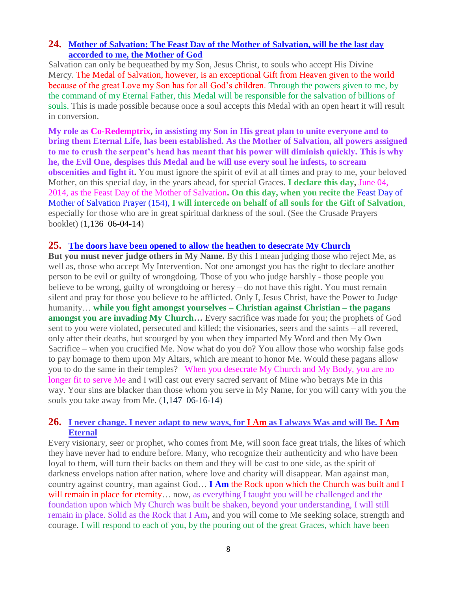### **24. [Mother of Salvation: The Feast Day of the Mother of Salvation, will be the last day](http://www.thewarningsecondcoming.com/mother-of-salvation-the-feast-day-of-the-mother-of-salvation-will-be-the-last-day-accorded-to-me-the-mother-of-god/)  [accorded to me, the Mother of God](http://www.thewarningsecondcoming.com/mother-of-salvation-the-feast-day-of-the-mother-of-salvation-will-be-the-last-day-accorded-to-me-the-mother-of-god/)**

Salvation can only be bequeathed by my Son, Jesus Christ, to souls who accept His Divine Mercy. The Medal of Salvation, however, is an exceptional Gift from Heaven given to the world because of the great Love my Son has for all God's children. Through the powers given to me, by the command of my Eternal Father, this Medal will be responsible for the salvation of billions of souls. This is made possible because once a soul accepts this Medal with an open heart it will result in conversion.

**My role as Co-Redemptrix, in assisting my Son in His great plan to unite everyone and to bring them Eternal Life, has been established. As the Mother of Salvation, all powers assigned to me to crush the serpent's head has meant that his power will diminish quickly. This is why he, the Evil One, despises this Medal and he will use every soul he infests, to scream obscenities and fight it.** You must ignore the spirit of evil at all times and pray to me, your beloved Mother, on this special day, in the years ahead, for special Graces. **I declare this day,** June 04, 2014, as the Feast Day of the Mother of Salvation**. On this day, when you recite the** Feast Day of Mother of Salvation Prayer (154), **I will intercede on behalf of all souls for the Gift of Salvation**, especially for those who are in great spiritual darkness of the soul. (See the Crusade Prayers booklet) (1,136 06-04-14)

#### **25. [The doors have been opened to allow the heathen to desecrate My Church](http://www.thewarningsecondcoming.com/the-doors-have-been-opened-to-allow-the-heathen-to-desecrate-my-church/)**

**But you must never judge others in My Name.** By this I mean judging those who reject Me, as well as, those who accept My Intervention. Not one amongst you has the right to declare another person to be evil or guilty of wrongdoing. Those of you who judge harshly - those people you believe to be wrong, guilty of wrongdoing or heresy – do not have this right. You must remain silent and pray for those you believe to be afflicted. Only I, Jesus Christ, have the Power to Judge humanity… **while you fight amongst yourselves – Christian against Christian – the pagans amongst you are invading My Church…** Every sacrifice was made for you; the prophets of God sent to you were violated, persecuted and killed; the visionaries, seers and the saints – all revered, only after their deaths, but scourged by you when they imparted My Word and then My Own Sacrifice – when you crucified Me. Now what do you do? You allow those who worship false gods to pay homage to them upon My Altars, which are meant to honor Me. Would these pagans allow you to do the same in their temples? When you desecrate My Church and My Body, you are no longer fit to serve Me and I will cast out every sacred servant of Mine who betrays Me in this way. Your sins are blacker than those whom you serve in My Name, for you will carry with you the souls you take away from Me. (1,147 06-16-14)

### **26. [I never change. I never adapt to new ways, for I Am](http://www.thewarningsecondcoming.com/i-never-change-i-never-adapt-to-new-ways-for-i-am-as-i-always-was-and-will-be-i-am-eternal/) as I always Was and will Be. I Am [Eternal](http://www.thewarningsecondcoming.com/i-never-change-i-never-adapt-to-new-ways-for-i-am-as-i-always-was-and-will-be-i-am-eternal/)**

Every visionary, seer or prophet, who comes from Me, will soon face great trials, the likes of which they have never had to endure before. Many, who recognize their authenticity and who have been loyal to them, will turn their backs on them and they will be cast to one side, as the spirit of darkness envelops nation after nation, where love and charity will disappear. Man against man, country against country, man against God… **I Am** the Rock upon which the Church was built and I will remain in place for eternity... now, as everything I taught you will be challenged and the foundation upon which My Church was built be shaken, beyond your understanding, I will still remain in place. Solid as the Rock that I Am**,** and you will come to Me seeking solace, strength and courage. I will respond to each of you, by the pouring out of the great Graces, which have been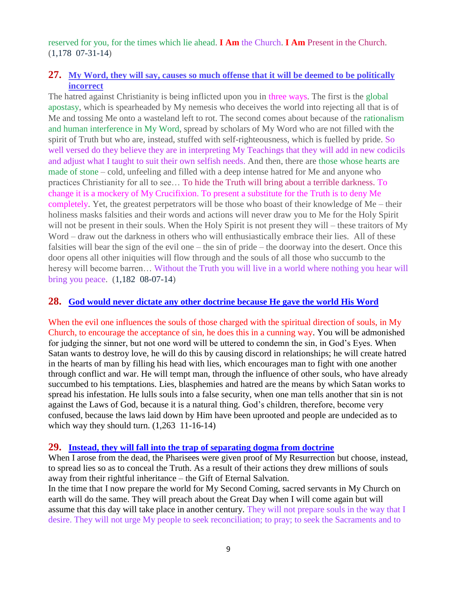reserved for you, for the times which lie ahead. **I Am** the Church. **I Am** Present in the Church. (1,178 07-31-14)

### **27. [My Word, they will say, causes so much offense that it will be deemed to be politically](http://www.thewarningsecondcoming.com/my-word-they-will-say-causes-so-much-offense-that-it-will-be-deemed-to-be-politically-incorrect/)  [incorrect](http://www.thewarningsecondcoming.com/my-word-they-will-say-causes-so-much-offense-that-it-will-be-deemed-to-be-politically-incorrect/)**

The hatred against Christianity is being inflicted upon you in three ways. The first is the global apostasy, which is spearheaded by My nemesis who deceives the world into rejecting all that is of Me and tossing Me onto a wasteland left to rot. The second comes about because of the rationalism and human interference in My Word, spread by scholars of My Word who are not filled with the spirit of Truth but who are, instead, stuffed with self-righteousness, which is fuelled by pride. So well versed do they believe they are in interpreting My Teachings that they will add in new codicils and adjust what I taught to suit their own selfish needs. And then, there are those whose hearts are made of stone – cold, unfeeling and filled with a deep intense hatred for Me and anyone who practices Christianity for all to see… To hide the Truth will bring about a terrible darkness. To change it is a mockery of My Crucifixion. To present a substitute for the Truth is to deny Me completely. Yet, the greatest perpetrators will be those who boast of their knowledge of Me – their holiness masks falsities and their words and actions will never draw you to Me for the Holy Spirit will not be present in their souls. When the Holy Spirit is not present they will – these traitors of My Word – draw out the darkness in others who will enthusiastically embrace their lies. All of these falsities will bear the sign of the evil one – the sin of pride – the doorway into the desert. Once this door opens all other iniquities will flow through and the souls of all those who succumb to the heresy will become barren… Without the Truth you will live in a world where nothing you hear will bring you peace. (1,182 08-07-14)

#### **28. [God would never dictate any other doctrine because He gave the world His Word](http://www.thewarningsecondcoming.com/god-would-never-dictate-any-other-doctrine-because-he-gave-the-world-his-word/)**

When the evil one influences the souls of those charged with the spiritual direction of souls, in My Church, to encourage the acceptance of sin, he does this in a cunning way. You will be admonished for judging the sinner, but not one word will be uttered to condemn the sin, in God's Eyes. When Satan wants to destroy love, he will do this by causing discord in relationships; he will create hatred in the hearts of man by filling his head with lies, which encourages man to fight with one another through conflict and war. He will tempt man, through the influence of other souls, who have already succumbed to his temptations. Lies, blasphemies and hatred are the means by which Satan works to spread his infestation. He lulls souls into a false security, when one man tells another that sin is not against the Laws of God, because it is a natural thing. God's children, therefore, become very confused, because the laws laid down by Him have been uprooted and people are undecided as to which way they should turn.  $(1,263 \quad 11-16-14)$ 

#### **29. Instead, they will fall into the trap [of separating dogma from doctrine](http://www.thewarningsecondcoming.com/instead-they-will-fall-into-the-trap-of-separating-dogma-from-doctrine/)**

When I arose from the dead, the Pharisees were given proof of My Resurrection but choose, instead, to spread lies so as to conceal the Truth. As a result of their actions they drew millions of souls away from their rightful inheritance – the Gift of Eternal Salvation.

In the time that I now prepare the world for My Second Coming, sacred servants in My Church on earth will do the same. They will preach about the Great Day when I will come again but will assume that this day will take place in another century. They will not prepare souls in the way that I desire. They will not urge My people to seek reconciliation; to pray; to seek the Sacraments and to